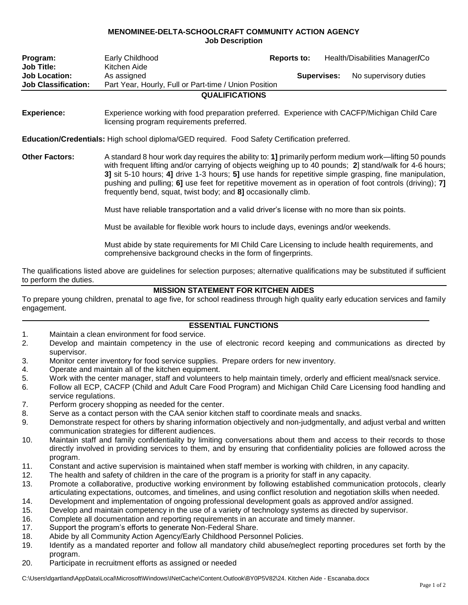## **MENOMINEE-DELTA-SCHOOLCRAFT COMMUNITY ACTION AGENCY Job Description**

| Program:<br><b>Job Title:</b><br><b>Job Location:</b><br><b>Job Classification:</b>           | Early Childhood<br>Kitchen Aide<br>As assigned<br>Part Year, Hourly, Full or Part-time / Union Position<br><b>QUALIFICATIONS</b>                                                                                                                                                                                                                                                                                                                                                                        | Reports to:<br>Supervises: |  | Health/Disabilities Manager/Co<br>No supervisory duties |
|-----------------------------------------------------------------------------------------------|---------------------------------------------------------------------------------------------------------------------------------------------------------------------------------------------------------------------------------------------------------------------------------------------------------------------------------------------------------------------------------------------------------------------------------------------------------------------------------------------------------|----------------------------|--|---------------------------------------------------------|
| <b>Experience:</b>                                                                            | Experience working with food preparation preferred. Experience with CACFP/Michigan Child Care<br>licensing program requirements preferred.                                                                                                                                                                                                                                                                                                                                                              |                            |  |                                                         |
| Education/Credentials: High school diploma/GED required. Food Safety Certification preferred. |                                                                                                                                                                                                                                                                                                                                                                                                                                                                                                         |                            |  |                                                         |
| <b>Other Factors:</b>                                                                         | A standard 8 hour work day requires the ability to: 1] primarily perform medium work—lifting 50 pounds<br>with frequent lifting and/or carrying of objects weighing up to 40 pounds; 2 stand/walk for 4-6 hours;<br>3] sit 5-10 hours; 4] drive 1-3 hours; 5] use hands for repetitive simple grasping, fine manipulation,<br>pushing and pulling; 6] use feet for repetitive movement as in operation of foot controls (driving); 7]<br>frequently bend, squat, twist body; and 8] occasionally climb. |                            |  |                                                         |

Must have reliable transportation and a valid driver's license with no more than six points.

Must be available for flexible work hours to include days, evenings and/or weekends.

Must abide by state requirements for MI Child Care Licensing to include health requirements, and comprehensive background checks in the form of fingerprints.

The qualifications listed above are guidelines for selection purposes; alternative qualifications may be substituted if sufficient to perform the duties.

## **MISSION STATEMENT FOR KITCHEN AIDES**

To prepare young children, prenatal to age five, for school readiness through high quality early education services and family engagement.

## **ESSENTIAL FUNCTIONS**

- 1. Maintain a clean environment for food service.
- 2. Develop and maintain competency in the use of electronic record keeping and communications as directed by supervisor.
- 3. Monitor center inventory for food service supplies. Prepare orders for new inventory.
- 4. Operate and maintain all of the kitchen equipment.
- 5. Work with the center manager, staff and volunteers to help maintain timely, orderly and efficient meal/snack service.
- 6. Follow all ECP, CACFP (Child and Adult Care Food Program) and Michigan Child Care Licensing food handling and service regulations.
- 7. Perform grocery shopping as needed for the center.
- 8. Serve as a contact person with the CAA senior kitchen staff to coordinate meals and snacks.
- 9. Demonstrate respect for others by sharing information objectively and non-judgmentally, and adjust verbal and written communication strategies for different audiences.
- 10. Maintain staff and family confidentiality by limiting conversations about them and access to their records to those directly involved in providing services to them, and by ensuring that confidentiality policies are followed across the program.
- 11. Constant and active supervision is maintained when staff member is working with children, in any capacity.
- 12. The health and safety of children in the care of the program is a priority for staff in any capacity.
- 13. Promote a collaborative, productive working environment by following established communication protocols, clearly articulating expectations, outcomes, and timelines, and using conflict resolution and negotiation skills when needed.
- 14. Development and implementation of ongoing professional development goals as approved and/or assigned.
- 15. Develop and maintain competency in the use of a variety of technology systems as directed by supervisor.
- 16. Complete all documentation and reporting requirements in an accurate and timely manner.
- 17. Support the program's efforts to generate Non-Federal Share.
- 18. Abide by all Community Action Agency/Early Childhood Personnel Policies.
- 19. Identify as a mandated reporter and follow all mandatory child abuse/neglect reporting procedures set forth by the program.
- 20. Participate in recruitment efforts as assigned or needed

C:\Users\dgartland\AppData\Local\Microsoft\Windows\INetCache\Content.Outlook\BY0P5V82\24. Kitchen Aide - Escanaba.docx

 $\overline{\phantom{a}}$